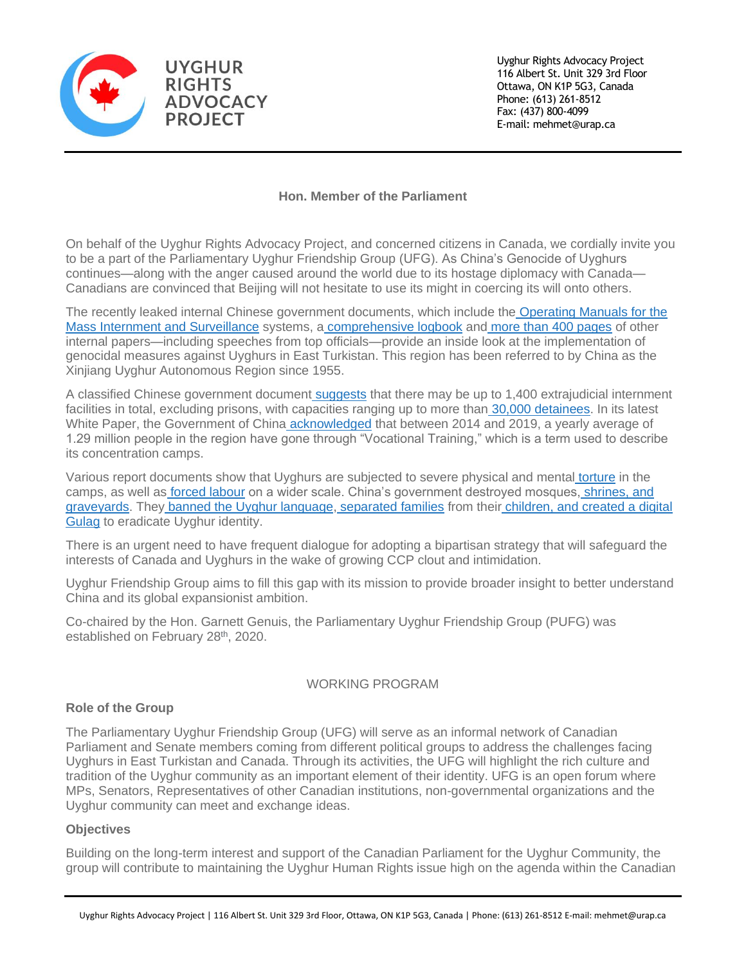

Uyghur Rights Advocacy Project 116 Albert St. Unit 329 3rd Floor Ottawa, ON K1P 5G3, Canada Phone: (613) 261-8512 Fax: (437) 800-4099 E-mail: mehmet@urap.ca

# **Hon. Member of the Parliament**

On behalf of the Uyghur Rights Advocacy Project, and concerned citizens in Canada, we cordially invite you to be a part of the Parliamentary Uyghur Friendship Group (UFG). As China's Genocide of Uyghurs continues—along with the anger caused around the world due to its hostage diplomacy with Canada— Canadians are convinced that Beijing will not hesitate to use its might in coercing its will onto others.

The recently leaked internal Chinese government documents, which include the [Operating Manuals for the](https://www.icij.org/investigations/china-cables/exposed-chinas-operating-manuals-for-mass-internment-and-arrest-by-algorithm/)  [Mass Internment and Surveillance](https://www.icij.org/investigations/china-cables/exposed-chinas-operating-manuals-for-mass-internment-and-arrest-by-algorithm/) systems, a [comprehensive logbook](https://www.jpolrisk.com/karakax/) and [more than 400 pages](https://www.nytimes.com/interactive/2019/11/16/world/asia/china-xinjiang-documents.html) of other internal papers—including speeches from top officials—provide an inside look at the implementation of genocidal measures against Uyghurs in East Turkistan. This region has been referred to by China as the Xinjiang Uyghur Autonomous Region since 1955.

A classified Chinese government document [suggests](https://www.jpolrisk.com/wash-brains-cleanse-hearts/) that there may be up to 1,400 extrajudicial internment facilities in total, excluding prisons, with capacities ranging up to more than [30,000 detainees.](https://www.npr.org/2020/08/29/907384509/satellite-images-show-chinas-expansion-of-muslim-detention-camps) In its latest White Paper, the Government of China [acknowledged](https://www.theguardian.com/world/2020/sep/18/clues-to-scale-of-xinjiang-labour-operation-emerge-as-china-defends-camps) that between 2014 and 2019, a yearly average of 1.29 million people in the region have gone through "Vocational Training," which is a term used to describe its concentration camps.

Various report documents show that Uyghurs are subjected to severe physical and mental [torture](https://www.businessinsider.com/life-inside-china-internment-camps-for-uighur-minority-in-xinjiang-bbc-report-2018-8) in the camps, as well as [forced labour](https://www.aspi.org.au/report/uyghurs-sale) on a wider scale. China's government destroyed mosques, [shrines, and](https://www.voanews.com/extremism-watch/us-china-targets-uighur-mosques-eradicate-minoritys-faith)  [graveyards.](https://www.voanews.com/extremism-watch/us-china-targets-uighur-mosques-eradicate-minoritys-faith) They [banned the Uyghur language,](https://learningenglish.voanews.com/a/china-moves-to-ban-uyghur-language-in-schools/3969575.html) [separated families](https://www.theatlantic.com/international/archive/2018/09/china-internment-camps-uighur-muslim-children/569062/) from their [children](https://www.hrw.org/news/2019/09/15/china-xinjiang-children-separated-families)[, and created a digital](https://www.cbc.ca/passionateeye/episodes/inside-chinas-digital-gulag)  [Gulag](https://www.cbc.ca/passionateeye/episodes/inside-chinas-digital-gulag) to eradicate Uyghur identity.

There is an urgent need to have frequent dialogue for adopting a bipartisan strategy that will safeguard the interests of Canada and Uyghurs in the wake of growing CCP clout and intimidation.

Uyghur Friendship Group aims to fill this gap with its mission to provide broader insight to better understand China and its global expansionist ambition.

Co-chaired by the Hon. Garnett Genuis, the Parliamentary Uyghur Friendship Group (PUFG) was established on February 28<sup>th</sup>, 2020.

## WORKING PROGRAM

## **Role of the Group**

The Parliamentary Uyghur Friendship Group (UFG) will serve as an informal network of Canadian Parliament and Senate members coming from different political groups to address the challenges facing Uyghurs in East Turkistan and Canada. Through its activities, the UFG will highlight the rich culture and tradition of the Uyghur community as an important element of their identity. UFG is an open forum where MPs, Senators, Representatives of other Canadian institutions, non-governmental organizations and the Uyghur community can meet and exchange ideas.

## **Objectives**

Building on the long-term interest and support of the Canadian Parliament for the Uyghur Community, the group will contribute to maintaining the Uyghur Human Rights issue high on the agenda within the Canadian